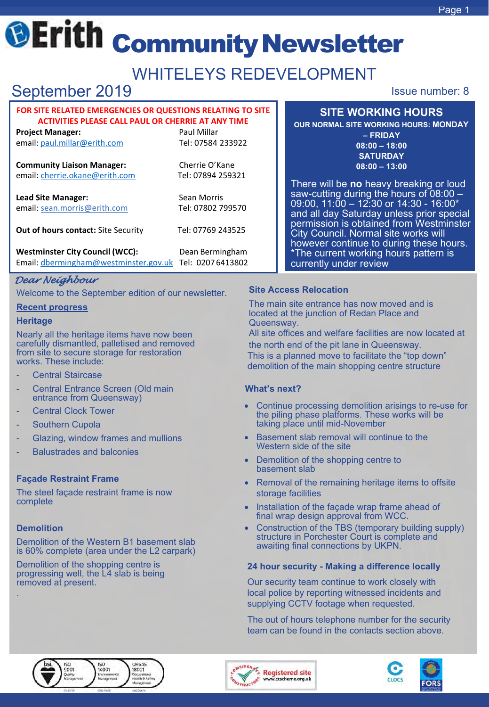## Page 1

# **@Erith community Newsletter**

# WHITELEYS REDEVELOPMENT

# September 2019 **ISSUE 2019** Issue number: 8

## **FOR SITE RELATED EMERGENCIES OR QUESTIONS RELATING TO SITE ACTIVITIES PLEASE CALL PAUL OR CHERRIE AT ANY TIME**

**Project Manager:** Paul Millar email: [paul.millar@erith.com](mailto:paul.millar@erith.com) Tel: 07584 233922

**Community Liaison Manager:** email: [cherrie.okane@erith.com](mailto:cherrie.okane@erith.com)

**Lead Site Manager:** email: [sean.morris@erith.com](mailto:sean.morris@erith.com)

Cherrie O'Kane Tel: 07894 259321

Sean Morris Tel: 07802 799570

**Out of hours contact:** [Site Security](mailto:bd@erith.com) Tel: 07769 243525

**Westminster City Council (WCC):** Dean Bermingham Email: [dbermingham@westminster.gov.uk](mailto:dbermingham@westminster.gov.uk) Tel: 0207 6413802

## *Dear Neighbour*

Welcome to the September edition of our newsletter.

## **Recent progress**

## **Heritage**

Nearly all the heritage items have now been carefully dismantled, palletised and removed from site to secure storage for restoration works. These include:

- **Central Staircase**
- Central Entrance Screen (Old main entrance from Queensway)
- **Central Clock Tower**
- Southern Cupola
- Glazing, window frames and mullions
- Balustrades and balconies

## **Façade Restraint Frame**

The steel façade restraint frame is now complete

## **Demolition**

.

Demolition of the Western B1 basement slab is 60% complete (area under the L2 carpark)

Demolition of the shopping centre is progressing well, the L4 slab is being removed at present.

## **SITE WORKING HOURS**

**OUR NORMAL SITE WORKING HOURS: MONDAY – FRIDAY 08:00 – 18:00 SATURDAY 08:00 – 13:00**

There will be **no** heavy breaking or loud saw-cutting during the hours of 08:00 -<br>09:00, 11:00 - 12:30 or 14:30 - 16:00\* and all day Saturday unless prior special permission is obtained from Westminster City Council. Normal site works will however continue to during these hours. \*The current working hours pattern is currently under review

## **Site Access Relocation**

The main site entrance has now moved and is located at the junction of Redan Place and Queensway.

All site offices and welfare facilities are now located at the north end of the pit lane in Queensway. This is a planned move to facilitate the "top down" demolition of the main shopping centre structure

## **What's next?**

- Continue processing demolition arisings to re-use for the piling phase platforms. These works will be taking place until mid-November
- Basement slab removal will continue to the Western side of the site
- Demolition of the shopping centre to basement slab
- Removal of the remaining heritage items to offsite storage facilities
- Installation of the façade wrap frame ahead of final wrap design approval from WCC.
- Construction of the TBS (temporary building supply) structure in Porchester Court is complete and awaiting final connections by UKPN.

## **24 hour security - Making a difference locally**

Our security team continue to work closely with local police by reporting witnessed incidents and supplying CCTV footage when requested.

The out of hours telephone number for the security team can be found in the contacts section above.